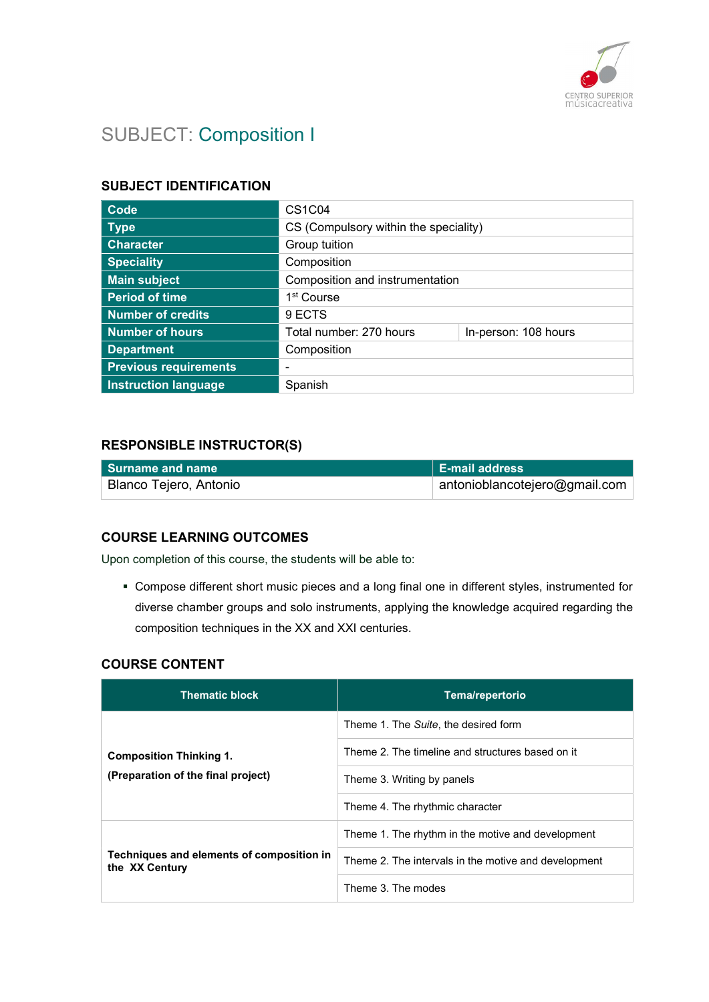

# SUBJECT: Composition I

#### SUBJECT IDENTIFICATION

| Code                         | <b>CS1C04</b>                         |                      |
|------------------------------|---------------------------------------|----------------------|
| <b>Type</b>                  | CS (Compulsory within the speciality) |                      |
| <b>Character</b>             | Group tuition                         |                      |
| <b>Speciality</b>            | Composition                           |                      |
| <b>Main subject</b>          | Composition and instrumentation       |                      |
| <b>Period of time</b>        | 1 <sup>st</sup> Course                |                      |
| <b>Number of credits</b>     | 9 ECTS                                |                      |
| <b>Number of hours</b>       | Total number: 270 hours               | In-person: 108 hours |
| <b>Department</b>            | Composition                           |                      |
| <b>Previous requirements</b> |                                       |                      |
| <b>Instruction language</b>  | Spanish                               |                      |

#### RESPONSIBLE INSTRUCTOR(S)

| l Surname and name     | <b>E-mail address</b>             |
|------------------------|-----------------------------------|
| Blanco Tejero, Antonio | $ $ antonioblancotejero@gmail.com |

## COURSE LEARNING OUTCOMES

Upon completion of this course, the students will be able to:

 Compose different short music pieces and a long final one in different styles, instrumented for diverse chamber groups and solo instruments, applying the knowledge acquired regarding the composition techniques in the XX and XXI centuries.

## COURSE CONTENT

| <b>Thematic block</b>                                                | Tema/repertorio                                      |
|----------------------------------------------------------------------|------------------------------------------------------|
| <b>Composition Thinking 1.</b><br>(Preparation of the final project) | Theme 1. The Suite, the desired form                 |
|                                                                      | Theme 2. The timeline and structures based on it     |
|                                                                      | Theme 3. Writing by panels                           |
|                                                                      | Theme 4. The rhythmic character                      |
| Techniques and elements of composition in<br>the XX Century          | Theme 1. The rhythm in the motive and development    |
|                                                                      | Theme 2. The intervals in the motive and development |
|                                                                      | Theme 3. The modes                                   |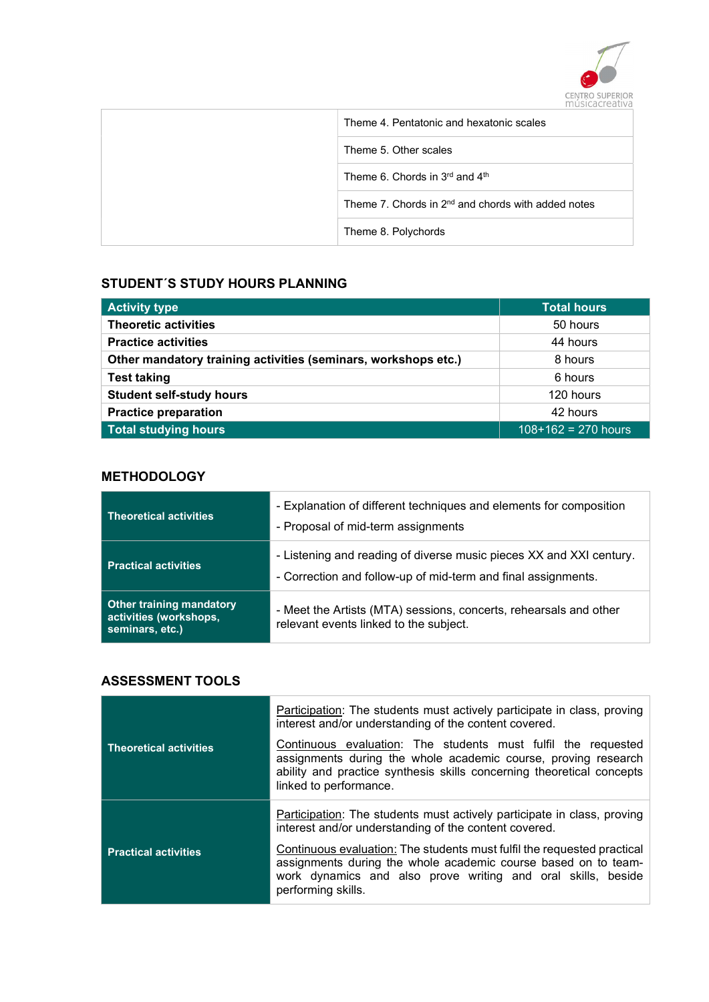

| Theme 4. Pentatonic and hexatonic scales             |
|------------------------------------------------------|
| Theme 5. Other scales                                |
| Theme 6. Chords in $3rd$ and $4th$                   |
| Theme 7. Chords in $2nd$ and chords with added notes |
| Theme 8. Polychords                                  |

## STUDENT´S STUDY HOURS PLANNING

| <b>Activity type</b>                                           | <b>Total hours</b>    |
|----------------------------------------------------------------|-----------------------|
| <b>Theoretic activities</b>                                    | 50 hours              |
| <b>Practice activities</b>                                     | 44 hours              |
| Other mandatory training activities (seminars, workshops etc.) | 8 hours               |
| <b>Test taking</b>                                             | 6 hours               |
| <b>Student self-study hours</b>                                | 120 hours             |
| <b>Practice preparation</b>                                    | 42 hours              |
| <b>Total studying hours</b>                                    | $108+162 = 270$ hours |

## **METHODOLOGY**

| <b>Theoretical activities</b>                                                | - Explanation of different techniques and elements for composition<br>- Proposal of mid-term assignments                             |
|------------------------------------------------------------------------------|--------------------------------------------------------------------------------------------------------------------------------------|
| <b>Practical activities</b>                                                  | - Listening and reading of diverse music pieces XX and XXI century.<br>- Correction and follow-up of mid-term and final assignments. |
| <b>Other training mandatory</b><br>activities (workshops,<br>seminars, etc.) | - Meet the Artists (MTA) sessions, concerts, rehearsals and other<br>relevant events linked to the subject.                          |

#### ASSESSMENT TOOLS

|                               | Participation: The students must actively participate in class, proving<br>interest and/or understanding of the content covered.                                                                                                   |
|-------------------------------|------------------------------------------------------------------------------------------------------------------------------------------------------------------------------------------------------------------------------------|
| <b>Theoretical activities</b> | Continuous evaluation: The students must fulfil the requested<br>assignments during the whole academic course, proving research<br>ability and practice synthesis skills concerning theoretical concepts<br>linked to performance. |
|                               | <b>Participation:</b> The students must actively participate in class, proving<br>interest and/or understanding of the content covered.                                                                                            |
| <b>Practical activities</b>   | Continuous evaluation: The students must fulfil the requested practical<br>assignments during the whole academic course based on to team-<br>work dynamics and also prove writing and oral skills, beside<br>performing skills.    |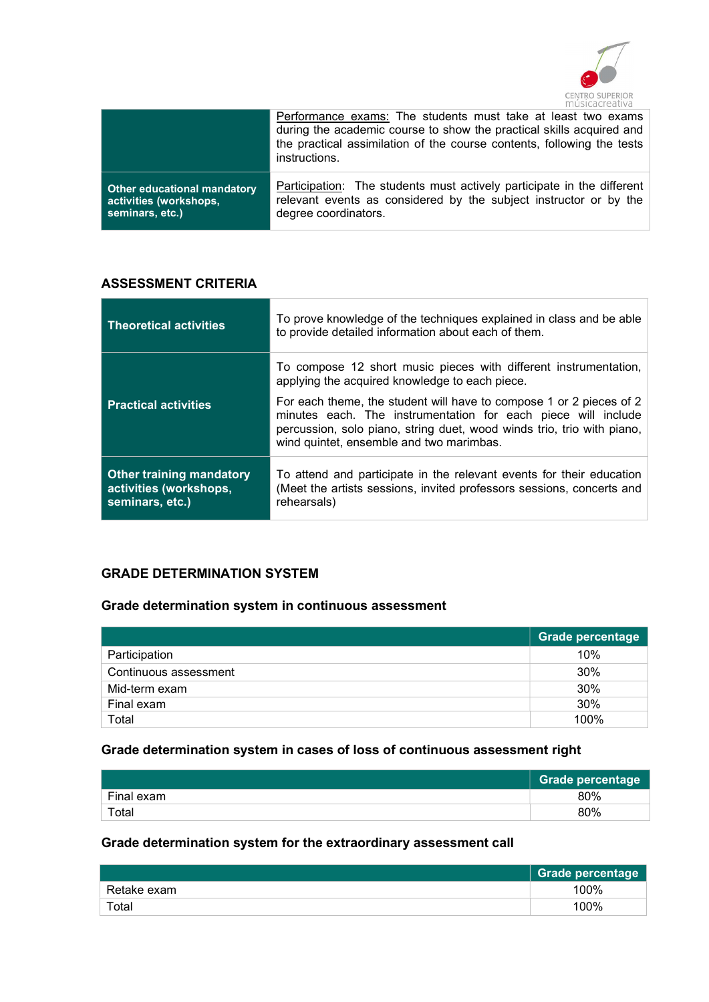

|                                    | Performance exams: The students must take at least two exams<br>during the academic course to show the practical skills acquired and<br>the practical assimilation of the course contents, following the tests<br>instructions. |
|------------------------------------|---------------------------------------------------------------------------------------------------------------------------------------------------------------------------------------------------------------------------------|
| <b>Other educational mandatory</b> | Participation: The students must actively participate in the different                                                                                                                                                          |
| activities (workshops,             | relevant events as considered by the subject instructor or by the                                                                                                                                                               |
| seminars, etc.)                    | degree coordinators.                                                                                                                                                                                                            |

## ASSESSMENT CRITERIA

| <b>Theoretical activities</b>                                                | To prove knowledge of the techniques explained in class and be able<br>to provide detailed information about each of them.                                                                                                                                 |
|------------------------------------------------------------------------------|------------------------------------------------------------------------------------------------------------------------------------------------------------------------------------------------------------------------------------------------------------|
|                                                                              | To compose 12 short music pieces with different instrumentation,<br>applying the acquired knowledge to each piece.                                                                                                                                         |
| <b>Practical activities</b>                                                  | For each theme, the student will have to compose 1 or 2 pieces of 2<br>minutes each. The instrumentation for each piece will include<br>percussion, solo piano, string duet, wood winds trio, trio with piano,<br>wind quintet, ensemble and two marimbas. |
| <b>Other training mandatory</b><br>activities (workshops,<br>seminars, etc.) | To attend and participate in the relevant events for their education<br>(Meet the artists sessions, invited professors sessions, concerts and<br>rehearsals)                                                                                               |

## GRADE DETERMINATION SYSTEM

## Grade determination system in continuous assessment

|                       | <b>Grade percentage</b> |
|-----------------------|-------------------------|
| Participation         | 10%                     |
| Continuous assessment | 30%                     |
| Mid-term exam         | 30%                     |
| Final exam            | 30%                     |
| Total                 | 100%                    |

## Grade determination system in cases of loss of continuous assessment right

|                        | <b>Grade percentage</b> |
|------------------------|-------------------------|
| Final exam             | 80%                     |
| $\tau$ <sub>otal</sub> | 80%                     |

# Grade determination system for the extraordinary assessment call

|             | Grade percentage |
|-------------|------------------|
| Retake exam | 100%             |
| Total       | 100%             |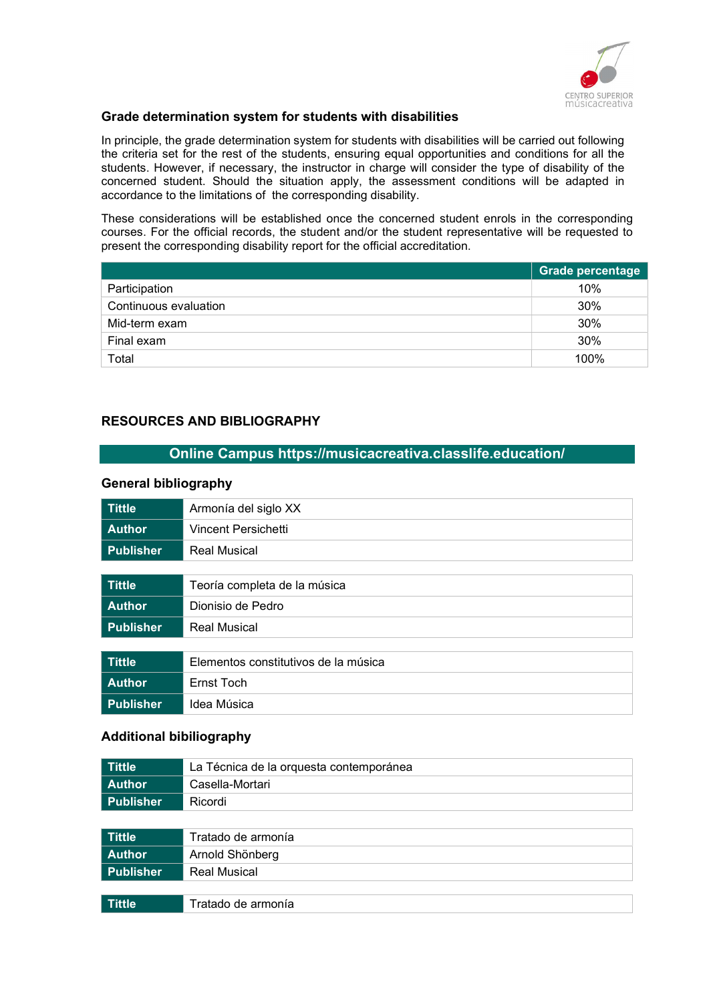

#### Grade determination system for students with disabilities

In principle, the grade determination system for students with disabilities will be carried out following the criteria set for the rest of the students, ensuring equal opportunities and conditions for all the students. However, if necessary, the instructor in charge will consider the type of disability of the concerned student. Should the situation apply, the assessment conditions will be adapted in accordance to the limitations of the corresponding disability.

These considerations will be established once the concerned student enrols in the corresponding courses. For the official records, the student and/or the student representative will be requested to present the corresponding disability report for the official accreditation.

|                       | Grade percentage |
|-----------------------|------------------|
| Participation         | 10%              |
| Continuous evaluation | 30%              |
| Mid-term exam         | 30%              |
| Final exam            | 30%              |
| Total                 | 100%             |

#### RESOURCES AND BIBLIOGRAPHY

#### Online Campus https://musicacreativa.classlife.education/

#### General bibliography

| <b>Tittle</b>    | Armonía del siglo XX                 |
|------------------|--------------------------------------|
| <b>Author</b>    | Vincent Persichetti                  |
| <b>Publisher</b> | <b>Real Musical</b>                  |
|                  |                                      |
| <b>Tittle</b>    | Teoría completa de la música         |
| <b>Author</b>    | Dionisio de Pedro                    |
| <b>Publisher</b> | <b>Real Musical</b>                  |
|                  |                                      |
| <b>Tittle</b>    | Elementos constitutivos de la música |
| <b>Author</b>    | Ernst Toch                           |
| <b>Publisher</b> | Idea Música                          |

#### Additional bibiliography

| Tittle           | La Técnica de la orquesta contemporánea |
|------------------|-----------------------------------------|
| <b>Author</b>    | Casella-Mortari                         |
| <b>Publisher</b> | Ricordi                                 |
|                  |                                         |
| Tittle           | Tratado de armonía                      |
| <b>Author</b>    | Arnold Shönberg                         |
| <b>Publisher</b> | <b>Real Musical</b>                     |

| $\sim$   |  |
|----------|--|
| mia<br>. |  |